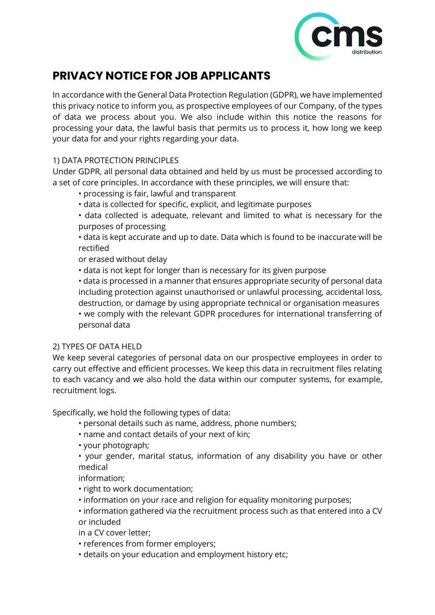

# **PRIVACY NOTICE FOR JOB APPLICANTS**

In accordance with the General Data Protection Regulation (GDPR), we have implemented this privacy notice to inform you, as prospective employees of our Company, of the types of data we process about you. We also include within this notice the reasons for processing your data, the lawful basis that permits us to process it, how long we keep your data for and your rights regarding your data.

# 1) DATA PROTECTION PRINCIPLES

Under GDPR, all personal data obtained and held by us must be processed according to a set of core principles. In accordance with these principles, we will ensure that:

- processing is fair, lawful and transparent
- data is collected for specific, explicit, and legitimate purposes

• data collected is adequate, relevant and limited to what is necessary for the purposes of processing

• data is kept accurate and up to date. Data which is found to be inaccurate will be rectified

or erased without delay

• data is not kept for longer than is necessary for its given purpose

• data is processed in a manner that ensures appropriate security of personal data including protection against unauthorised or unlawful processing, accidental loss, destruction, or damage by using appropriate technical or organisation measures

• we comply with the relevant GDPR procedures for international transferring of personal data

#### 2) TYPES OF DATA HELD

We keep several categories of personal data on our prospective employees in order to carry out effective and efficient processes. We keep this data in recruitment files relating to each vacancy and we also hold the data within our computer systems, for example, recruitment logs.

Specifically, we hold the following types of data:

- personal details such as name, address, phone numbers;
- name and contact details of your next of kin;
- your photograph;

• your gender, marital status, information of any disability you have or other medical

information;

- right to work documentation;
- information on your race and religion for equality monitoring purposes:

• information gathered via the recruitment process such as that entered into a CV or included

in a CV cover letter;

- references from former employers;
- details on your education and employment history etc;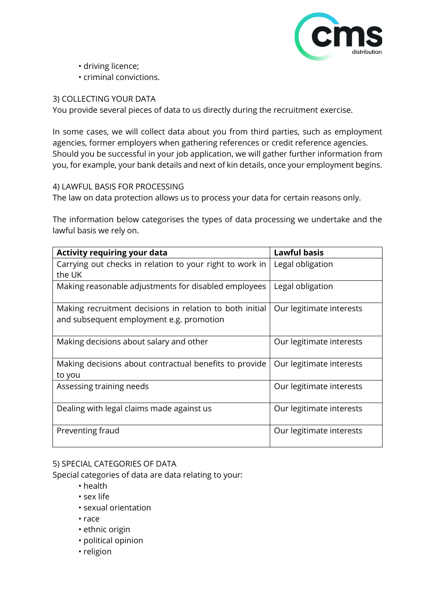

- driving licence;
- criminal convictions.

## 3) COLLECTING YOUR DATA

You provide several pieces of data to us directly during the recruitment exercise.

In some cases, we will collect data about you from third parties, such as employment agencies, former employers when gathering references or credit reference agencies. Should you be successful in your job application, we will gather further information from you, for example, your bank details and next of kin details, once your employment begins.

4) LAWFUL BASIS FOR PROCESSING

The law on data protection allows us to process your data for certain reasons only.

The information below categorises the types of data processing we undertake and the lawful basis we rely on.

| <b>Activity requiring your data</b>                              | <b>Lawful basis</b>      |
|------------------------------------------------------------------|--------------------------|
| Carrying out checks in relation to your right to work in         | Legal obligation         |
| the UK                                                           |                          |
| Making reasonable adjustments for disabled employees             | Legal obligation         |
| Making recruitment decisions in relation to both initial         | Our legitimate interests |
| and subsequent employment e.g. promotion                         |                          |
| Making decisions about salary and other                          | Our legitimate interests |
| Making decisions about contractual benefits to provide<br>to you | Our legitimate interests |
| Assessing training needs                                         | Our legitimate interests |
| Dealing with legal claims made against us                        | Our legitimate interests |
| Preventing fraud                                                 | Our legitimate interests |

# 5) SPECIAL CATEGORIES OF DATA

Special categories of data are data relating to your:

- health
- sex life
- sexual orientation
- race
- ethnic origin
- political opinion
- religion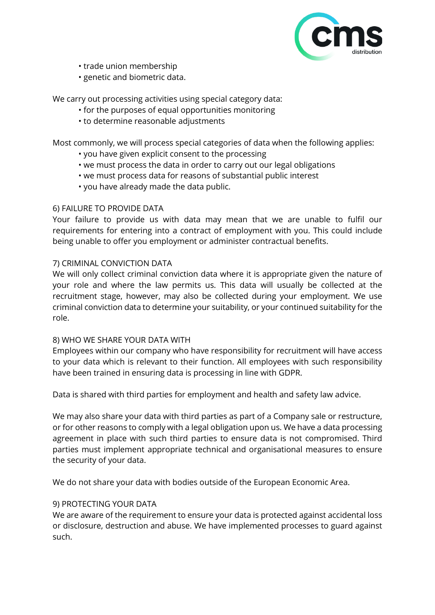

- trade union membership
- genetic and biometric data.

We carry out processing activities using special category data:

- for the purposes of equal opportunities monitoring
- to determine reasonable adjustments

Most commonly, we will process special categories of data when the following applies:

- you have given explicit consent to the processing
- we must process the data in order to carry out our legal obligations
- we must process data for reasons of substantial public interest
- you have already made the data public.

#### 6) FAILURE TO PROVIDE DATA

Your failure to provide us with data may mean that we are unable to fulfil our requirements for entering into a contract of employment with you. This could include being unable to offer you employment or administer contractual benefits.

#### 7) CRIMINAL CONVICTION DATA

We will only collect criminal conviction data where it is appropriate given the nature of your role and where the law permits us. This data will usually be collected at the recruitment stage, however, may also be collected during your employment. We use criminal conviction data to determine your suitability, or your continued suitability for the role.

#### 8) WHO WE SHARE YOUR DATA WITH

Employees within our company who have responsibility for recruitment will have access to your data which is relevant to their function. All employees with such responsibility have been trained in ensuring data is processing in line with GDPR.

Data is shared with third parties for employment and health and safety law advice.

We may also share your data with third parties as part of a Company sale or restructure, or for other reasons to comply with a legal obligation upon us. We have a data processing agreement in place with such third parties to ensure data is not compromised. Third parties must implement appropriate technical and organisational measures to ensure the security of your data.

We do not share your data with bodies outside of the European Economic Area.

#### 9) PROTECTING YOUR DATA

We are aware of the requirement to ensure your data is protected against accidental loss or disclosure, destruction and abuse. We have implemented processes to guard against such.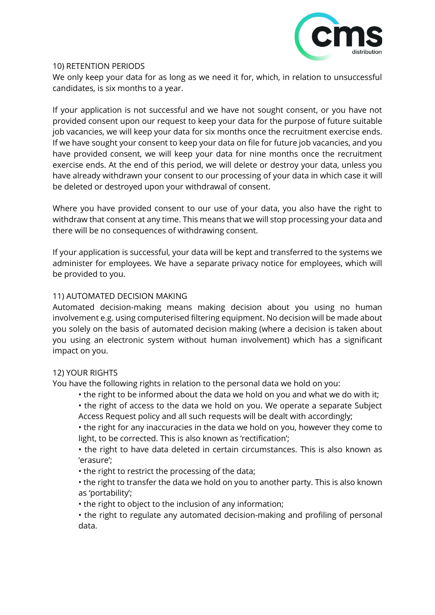

#### 10) RETENTION PERIODS

We only keep your data for as long as we need it for, which, in relation to unsuccessful candidates, is six months to a year.

If your application is not successful and we have not sought consent, or you have not provided consent upon our request to keep your data for the purpose of future suitable job vacancies, we will keep your data for six months once the recruitment exercise ends. If we have sought your consent to keep your data on file for future job vacancies, and you have provided consent, we will keep your data for nine months once the recruitment exercise ends. At the end of this period, we will delete or destroy your data, unless you have already withdrawn your consent to our processing of your data in which case it will be deleted or destroyed upon your withdrawal of consent.

Where you have provided consent to our use of your data, you also have the right to withdraw that consent at any time. This means that we will stop processing your data and there will be no consequences of withdrawing consent.

If your application is successful, your data will be kept and transferred to the systems we administer for employees. We have a separate privacy notice for employees, which will be provided to you.

## 11) AUTOMATED DECISION MAKING

Automated decision-making means making decision about you using no human involvement e.g. using computerised filtering equipment. No decision will be made about you solely on the basis of automated decision making (where a decision is taken about you using an electronic system without human involvement) which has a significant impact on you.

#### 12) YOUR RIGHTS

You have the following rights in relation to the personal data we hold on you:

- the right to be informed about the data we hold on you and what we do with it;
- the right of access to the data we hold on you. We operate a separate Subject Access Request policy and all such requests will be dealt with accordingly;
- the right for any inaccuracies in the data we hold on you, however they come to light, to be corrected. This is also known as 'rectification';
- the right to have data deleted in certain circumstances. This is also known as 'erasure';
- the right to restrict the processing of the data;
- the right to transfer the data we hold on you to another party. This is also known as 'portability';
- the right to object to the inclusion of any information;
- the right to regulate any automated decision-making and profiling of personal data.